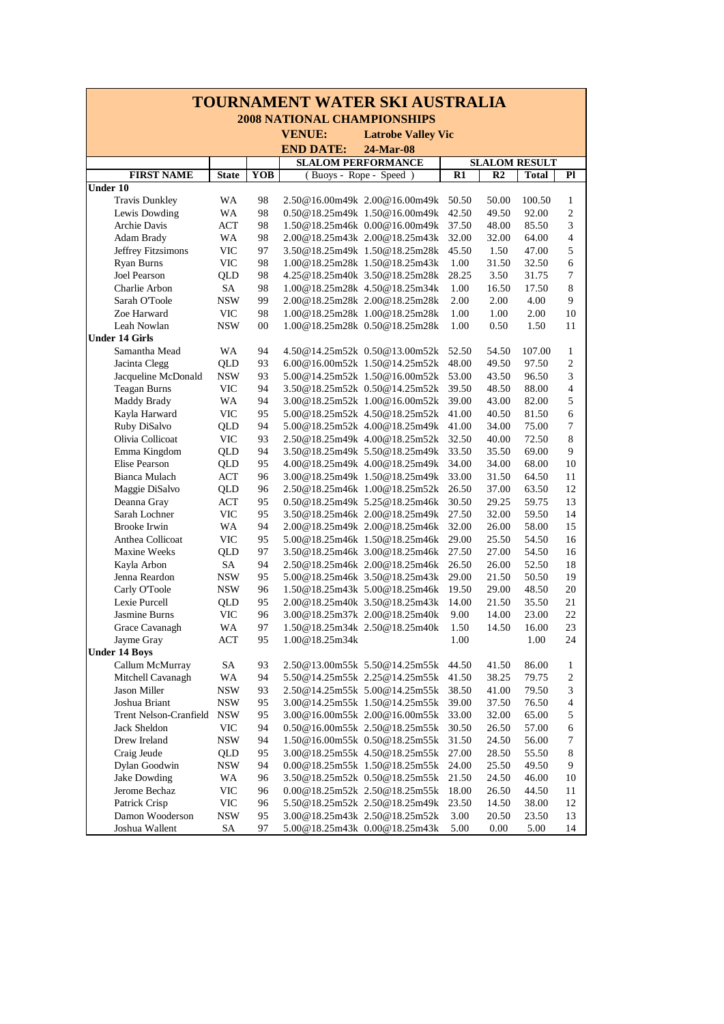| <b>TOURNAMENT WATER SKI AUSTRALIA</b> |                          |          |                                    |                                                                |                |                |                      |                            |  |  |  |
|---------------------------------------|--------------------------|----------|------------------------------------|----------------------------------------------------------------|----------------|----------------|----------------------|----------------------------|--|--|--|
|                                       |                          |          | <b>2008 NATIONAL CHAMPIONSHIPS</b> |                                                                |                |                |                      |                            |  |  |  |
|                                       |                          |          | <b>VENUE:</b>                      | <b>Latrobe Valley Vic</b>                                      |                |                |                      |                            |  |  |  |
|                                       |                          |          | <b>END DATE:</b>                   | 24-Mar-08                                                      |                |                |                      |                            |  |  |  |
|                                       |                          |          |                                    | <b>SLALOM PERFORMANCE</b>                                      |                |                | <b>SLALOM RESULT</b> |                            |  |  |  |
| <b>FIRST NAME</b>                     | <b>State</b>             | YOB      |                                    | (Buoys - Rope - Speed)                                         | R1             | R2             | <b>Total</b>         | P1                         |  |  |  |
| Under 10                              |                          |          |                                    |                                                                |                |                |                      |                            |  |  |  |
| <b>Travis Dunkley</b>                 | WA                       | 98       |                                    | 2.50@16.00m49k 2.00@16.00m49k                                  | 50.50          | 50.00          | 100.50               | 1                          |  |  |  |
| Lewis Dowding                         | WA                       | 98       |                                    | 0.50@18.25m49k 1.50@16.00m49k                                  | 42.50          | 49.50          | 92.00                | $\overline{2}$             |  |  |  |
| Archie Davis                          | ACT                      | 98       |                                    | 1.50@18.25m46k 0.00@16.00m49k                                  | 37.50          | 48.00          | 85.50                | 3                          |  |  |  |
| Adam Brady                            | WA                       | 98       |                                    | 2.00@18.25m43k 2.00@18.25m43k                                  | 32.00          | 32.00          | 64.00                | $\overline{4}$             |  |  |  |
| Jeffrey Fitzsimons                    | <b>VIC</b>               | 97       |                                    | 3.50@18.25m49k 1.50@18.25m28k                                  | 45.50          | 1.50           | 47.00                | $\sqrt{5}$                 |  |  |  |
| Ryan Burns                            | <b>VIC</b>               | 98       |                                    | 1.00@18.25m28k 1.50@18.25m43k                                  | 1.00           | 31.50          | 32.50                | 6                          |  |  |  |
| Joel Pearson                          | QLD                      | 98       |                                    | 4.25@18.25m40k 3.50@18.25m28k                                  | 28.25          | 3.50           | 31.75                | $\overline{7}$             |  |  |  |
| Charlie Arbon                         | <b>SA</b>                | 98       |                                    | 1.00@18.25m28k 4.50@18.25m34k                                  | 1.00           | 16.50          | 17.50                | $\,8\,$                    |  |  |  |
| Sarah O'Toole                         | <b>NSW</b>               | 99       |                                    | 2.00@18.25m28k 2.00@18.25m28k                                  | 2.00           | 2.00           | 4.00                 | 9                          |  |  |  |
| Zoe Harward                           | <b>VIC</b>               | 98       |                                    | 1.00@18.25m28k 1.00@18.25m28k                                  | 1.00           | 1.00           | 2.00                 | 10                         |  |  |  |
| Leah Nowlan                           | <b>NSW</b>               | 00       |                                    | 1.00@18.25m28k 0.50@18.25m28k                                  | 1.00           | 0.50           | 1.50                 | 11                         |  |  |  |
| <b>Under 14 Girls</b>                 |                          |          |                                    |                                                                |                |                |                      |                            |  |  |  |
| Samantha Mead                         | WA                       | 94       |                                    | 4.50@14.25m52k 0.50@13.00m52k                                  | 52.50          | 54.50          | 107.00               | $\mathbf{1}$               |  |  |  |
| Jacinta Clegg<br>Jacqueline McDonald  | QLD                      | 93       |                                    | 6.00@16.00m52k 1.50@14.25m52k                                  | 48.00          | 49.50          | 97.50                | $\overline{2}$<br>3        |  |  |  |
|                                       | <b>NSW</b>               | 93<br>94 |                                    | 5.00@14.25m52k 1.50@16.00m52k                                  | 53.00          | 43.50          | 96.50                | $\overline{4}$             |  |  |  |
| <b>Teagan Burns</b><br>Maddy Brady    | VIC<br>WA                | 94       |                                    | 3.50@18.25m52k 0.50@14.25m52k<br>3.00@18.25m52k 1.00@16.00m52k | 39.50<br>39.00 | 48.50<br>43.00 | 88.00<br>82.00       | 5                          |  |  |  |
| Kayla Harward                         | <b>VIC</b>               | 95       |                                    | 5.00@18.25m52k 4.50@18.25m52k                                  | 41.00          | 40.50          | 81.50                | 6                          |  |  |  |
| Ruby DiSalvo                          | QLD                      | 94       |                                    | 5.00@18.25m52k 4.00@18.25m49k                                  | 41.00          | 34.00          | 75.00                | $\boldsymbol{7}$           |  |  |  |
| Olivia Collicoat                      | <b>VIC</b>               | 93       |                                    | 2.50@18.25m49k 4.00@18.25m52k                                  | 32.50          | 40.00          | 72.50                | 8                          |  |  |  |
| Emma Kingdom                          | QLD                      | 94       |                                    | 3.50@18.25m49k 5.50@18.25m49k                                  | 33.50          | 35.50          | 69.00                | 9                          |  |  |  |
| Elise Pearson                         | QLD                      | 95       |                                    | 4.00@18.25m49k 4.00@18.25m49k                                  | 34.00          | 34.00          | 68.00                | 10                         |  |  |  |
| <b>Bianca Mulach</b>                  | <b>ACT</b>               | 96       |                                    | 3.00@18.25m49k 1.50@18.25m49k                                  | 33.00          | 31.50          | 64.50                | 11                         |  |  |  |
| Maggie DiSalvo                        | QLD                      | 96       |                                    | 2.50@18.25m46k 1.00@18.25m52k                                  | 26.50          | 37.00          | 63.50                | 12                         |  |  |  |
| Deanna Gray                           | ACT                      | 95       |                                    | 0.50@18.25m49k 5.25@18.25m46k                                  | 30.50          | 29.25          | 59.75                | 13                         |  |  |  |
| Sarah Lochner                         | VIC                      | 95       |                                    | 3.50@18.25m46k 2.00@18.25m49k                                  | 27.50          | 32.00          | 59.50                | 14                         |  |  |  |
| <b>Brooke Irwin</b>                   | WA                       | 94       |                                    | 2.00@18.25m49k 2.00@18.25m46k                                  | 32.00          | 26.00          | 58.00                | 15                         |  |  |  |
| Anthea Collicoat                      | <b>VIC</b>               | 95       |                                    | 5.00@18.25m46k 1.50@18.25m46k                                  | 29.00          | 25.50          | 54.50                | 16                         |  |  |  |
| Maxine Weeks                          | QLD                      | 97       |                                    | 3.50@18.25m46k 3.00@18.25m46k                                  | 27.50          | 27.00          | 54.50                | 16                         |  |  |  |
| Kayla Arbon                           | SA                       | 94       |                                    | 2.50@18.25m46k 2.00@18.25m46k                                  | 26.50          | 26.00          | 52.50                | 18                         |  |  |  |
| Jenna Reardon                         | <b>NSW</b>               | 95       |                                    | 5.00@18.25m46k 3.50@18.25m43k                                  | 29.00          | 21.50          | 50.50                | 19                         |  |  |  |
| Carly O'Toole                         | <b>NSW</b>               | 96       |                                    | 1.50@18.25m43k 5.00@18.25m46k                                  | 19.50          | 29.00          | 48.50                | 20                         |  |  |  |
| Lexie Purcell                         | QLD                      | 95       |                                    | 2.00@18.25m40k 3.50@18.25m43k                                  | 14.00          | 21.50          | 35.50                | 21                         |  |  |  |
| Jasmine Burns                         | VIC                      | 96       |                                    | 3.00@18.25m37k 2.00@18.25m40k                                  | 9.00           | 14.00          | 23.00                | 22                         |  |  |  |
| Grace Cavanagh                        | WA                       | 97       |                                    | 1.50@18.25m34k 2.50@18.25m40k                                  | 1.50           | 14.50          | 16.00                | 23                         |  |  |  |
| Jayme Gray                            | ACT                      | 95       | 1.00@18.25m34k                     |                                                                | 1.00           |                | 1.00                 | 24                         |  |  |  |
| <b>Under 14 Boys</b>                  |                          |          |                                    |                                                                |                |                |                      |                            |  |  |  |
| Callum McMurray                       | SA                       | 93<br>94 |                                    | 2.50@13.00m55k 5.50@14.25m55k<br>5.50@14.25m55k 2.25@14.25m55k | 44.50<br>41.50 | 41.50<br>38.25 | 86.00<br>79.75       | $\mathbf{1}$<br>$\sqrt{2}$ |  |  |  |
| Mitchell Cavanagh<br>Jason Miller     | WA                       |          |                                    | 2.50@14.25m55k 5.00@14.25m55k                                  | 38.50          | 41.00          | 79.50                | 3                          |  |  |  |
| Joshua Briant                         | <b>NSW</b><br><b>NSW</b> | 93<br>95 |                                    | 3.00@14.25m55k 1.50@14.25m55k                                  | 39.00          | 37.50          | 76.50                | $\overline{4}$             |  |  |  |
| Trent Nelson-Cranfield                | <b>NSW</b>               | 95       |                                    | 3.00@16.00m55k 2.00@16.00m55k                                  | 33.00          | 32.00          | 65.00                | 5                          |  |  |  |
| Jack Sheldon                          | <b>VIC</b>               | 94       |                                    | 0.50@16.00m55k 2.50@18.25m55k                                  | 30.50          | 26.50          | 57.00                | 6                          |  |  |  |
| Drew Ireland                          | <b>NSW</b>               | 94       |                                    | 1.50@16.00m55k 0.50@18.25m55k                                  | 31.50          | 24.50          | 56.00                | 7                          |  |  |  |
| Craig Jeude                           | QLD                      | 95       |                                    | 3.00@18.25m55k 4.50@18.25m55k                                  | 27.00          | 28.50          | 55.50                | 8                          |  |  |  |
| Dylan Goodwin                         | <b>NSW</b>               | 94       |                                    | $0.00@18.25m55k$ 1.50 $@18.25m55k$                             | 24.00          | 25.50          | 49.50                | 9                          |  |  |  |
| Jake Dowding                          | WA                       | 96       |                                    | 3.50@18.25m52k 0.50@18.25m55k                                  | 21.50          | 24.50          | 46.00                | 10                         |  |  |  |
| Jerome Bechaz                         | <b>VIC</b>               | 96       |                                    | 0.00@18.25m52k 2.50@18.25m55k                                  | 18.00          | 26.50          | 44.50                | 11                         |  |  |  |
| Patrick Crisp                         | <b>VIC</b>               | 96       |                                    | 5.50@18.25m52k 2.50@18.25m49k                                  | 23.50          | 14.50          | 38.00                | 12                         |  |  |  |
| Damon Wooderson                       | <b>NSW</b>               | 95       |                                    | 3.00@18.25m43k 2.50@18.25m52k                                  | 3.00           | 20.50          | 23.50                | 13                         |  |  |  |
| Joshua Wallent                        | SA                       | 97       |                                    | 5.00@18.25m43k 0.00@18.25m43k                                  | 5.00           | 0.00           | 5.00                 | 14                         |  |  |  |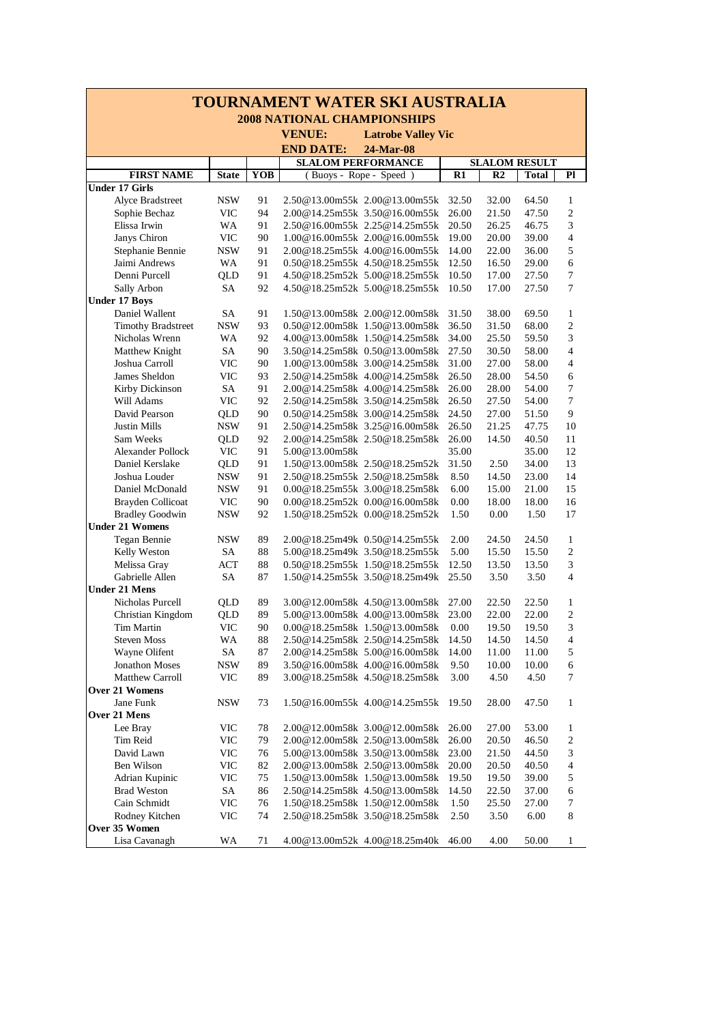| <b>TOURNAMENT WATER SKI AUSTRALIA</b>  |                   |            |                                                                |                |                                  |                                |  |  |  |  |  |
|----------------------------------------|-------------------|------------|----------------------------------------------------------------|----------------|----------------------------------|--------------------------------|--|--|--|--|--|
|                                        |                   |            | <b>2008 NATIONAL CHAMPIONSHIPS</b>                             |                |                                  |                                |  |  |  |  |  |
|                                        |                   |            | <b>VENUE:</b><br><b>Latrobe Valley Vic</b>                     |                |                                  |                                |  |  |  |  |  |
|                                        |                   |            | <b>END DATE:</b><br>24-Mar-08                                  |                |                                  |                                |  |  |  |  |  |
|                                        |                   |            | <b>SLALOM PERFORMANCE</b>                                      |                | <b>SLALOM RESULT</b>             |                                |  |  |  |  |  |
| <b>FIRST NAME</b>                      | <b>State</b>      | <b>YOB</b> | (Buoys - Rope - Speed)                                         | R1             | R2<br><b>Total</b>               | Pl                             |  |  |  |  |  |
| <b>Under 17 Girls</b>                  |                   |            |                                                                |                |                                  |                                |  |  |  |  |  |
| Alyce Bradstreet                       | <b>NSW</b>        | 91         | 2.50@13.00m55k 2.00@13.00m55k                                  | 32.50          | 32.00<br>64.50                   | $\mathbf{1}$                   |  |  |  |  |  |
| Sophie Bechaz                          | VIC               | 94         | 2.00@14.25m55k 3.50@16.00m55k                                  | 26.00          | 21.50<br>47.50                   | $\overline{2}$                 |  |  |  |  |  |
| Elissa Irwin                           | WA                | 91         | 2.50@16.00m55k 2.25@14.25m55k                                  | 20.50          | 26.25<br>46.75                   | 3                              |  |  |  |  |  |
| Janys Chiron                           | <b>VIC</b>        | 90         | 1.00@16.00m55k 2.00@16.00m55k                                  | 19.00          | 20.00<br>39.00                   | $\overline{4}$                 |  |  |  |  |  |
| Stephanie Bennie                       | <b>NSW</b>        | 91         | 2.00@18.25m55k 4.00@16.00m55k                                  | 14.00          | 22.00<br>36.00                   | $\sqrt{5}$                     |  |  |  |  |  |
| Jaimi Andrews                          | WA                | 91         | 0.50@18.25m55k 4.50@18.25m55k                                  | 12.50          | 16.50<br>29.00                   | 6                              |  |  |  |  |  |
| Denni Purcell                          | QLD               | 91         | 4.50@18.25m52k 5.00@18.25m55k                                  | 10.50          | 17.00<br>27.50                   | $\tau$                         |  |  |  |  |  |
| Sally Arbon                            | SA                | 92         | 4.50@18.25m52k 5.00@18.25m55k                                  | 10.50          | 17.00<br>27.50                   | 7                              |  |  |  |  |  |
| <b>Under 17 Boys</b><br>Daniel Wallent | SA                | 91         | 1.50@13.00m58k 2.00@12.00m58k                                  | 31.50          | 38.00<br>69.50                   | $\mathbf{1}$                   |  |  |  |  |  |
| <b>Timothy Bradstreet</b>              | <b>NSW</b>        | 93         | 0.50@12.00m58k 1.50@13.00m58k                                  | 36.50          | 31.50<br>68.00                   | $\overline{2}$                 |  |  |  |  |  |
| Nicholas Wrenn                         | WA                | 92         | 4.00@13.00m58k 1.50@14.25m58k                                  | 34.00          | 25.50<br>59.50                   | 3                              |  |  |  |  |  |
| Matthew Knight                         | SA                | 90         | 3.50@14.25m58k 0.50@13.00m58k                                  | 27.50          | 30.50<br>58.00                   | $\overline{4}$                 |  |  |  |  |  |
| Joshua Carroll                         | <b>VIC</b>        | 90         | 1.00@13.00m58k 3.00@14.25m58k                                  | 31.00          | 27.00<br>58.00                   | 4                              |  |  |  |  |  |
| James Sheldon                          | <b>VIC</b>        | 93         | 2.50@14.25m58k 4.00@14.25m58k                                  | 26.50          | 28.00<br>54.50                   | 6                              |  |  |  |  |  |
| Kirby Dickinson                        | SA                | 91         | 2.00@14.25m58k 4.00@14.25m58k                                  | 26.00          | 28.00<br>54.00                   | $\tau$                         |  |  |  |  |  |
| Will Adams                             | <b>VIC</b>        | 92         | 2.50@14.25m58k 3.50@14.25m58k                                  | 26.50          | 27.50<br>54.00                   | $\overline{7}$                 |  |  |  |  |  |
| David Pearson                          | QLD               | 90         | 0.50@14.25m58k 3.00@14.25m58k                                  | 24.50          | 27.00<br>51.50                   | 9                              |  |  |  |  |  |
| Justin Mills                           | <b>NSW</b>        | 91         | 2.50@14.25m58k 3.25@16.00m58k                                  | 26.50          | 21.25<br>47.75                   | 10                             |  |  |  |  |  |
| Sam Weeks                              | QLD               | 92         | 2.00@14.25m58k 2.50@18.25m58k                                  | 26.00          | 14.50<br>40.50                   | 11                             |  |  |  |  |  |
| <b>Alexander Pollock</b>               | <b>VIC</b>        | 91         | 5.00@13.00m58k                                                 | 35.00          | 35.00                            | 12                             |  |  |  |  |  |
| Daniel Kerslake                        | QLD               | 91         | 1.50@13.00m58k 2.50@18.25m52k                                  | 31.50          | 2.50<br>34.00                    | 13                             |  |  |  |  |  |
| Joshua Louder                          | <b>NSW</b>        | 91         | 2.50@18.25m55k 2.50@18.25m58k                                  | 8.50           | 14.50<br>23.00                   | 14                             |  |  |  |  |  |
| Daniel McDonald                        | <b>NSW</b>        | 91         | 0.00@18.25m55k 3.00@18.25m58k                                  | 6.00           | 15.00<br>21.00                   | 15                             |  |  |  |  |  |
| Brayden Collicoat                      | <b>VIC</b>        | 90         | 0.00@18.25m52k 0.00@16.00m58k                                  | 0.00           | 18.00<br>18.00                   | 16                             |  |  |  |  |  |
| <b>Bradley Goodwin</b>                 | <b>NSW</b>        | 92         | 1.50@18.25m52k 0.00@18.25m52k                                  | 1.50           | 0.00<br>1.50                     | 17                             |  |  |  |  |  |
| <b>Under 21 Womens</b>                 |                   |            |                                                                |                |                                  |                                |  |  |  |  |  |
| Tegan Bennie                           | <b>NSW</b>        | 89         | 2.00@18.25m49k 0.50@14.25m55k                                  | 2.00           | 24.50<br>24.50                   | 1                              |  |  |  |  |  |
| Kelly Weston                           | SA                | 88         | 5.00@18.25m49k 3.50@18.25m55k                                  | 5.00           | 15.50<br>15.50                   | 2                              |  |  |  |  |  |
| Melissa Gray                           | <b>ACT</b>        | 88         | 0.50@18.25m55k 1.50@18.25m55k                                  | 12.50          | 13.50<br>13.50                   | $\mathfrak{Z}$                 |  |  |  |  |  |
| Gabrielle Allen                        | SA                | 87         | 1.50@14.25m55k 3.50@18.25m49k                                  | 25.50          | 3.50<br>3.50                     | $\overline{4}$                 |  |  |  |  |  |
| <b>Under 21 Mens</b>                   |                   |            |                                                                |                |                                  |                                |  |  |  |  |  |
| Nicholas Purcell                       | QLD               | 89<br>89   | 3.00@12.00m58k 4.50@13.00m58k<br>5.00@13.00m58k 4.00@13.00m58k | 27.00<br>23.00 | 22.50<br>22.50<br>22.00<br>22.00 | $\mathbf{1}$<br>$\overline{c}$ |  |  |  |  |  |
| Christian Kingdom<br><b>Tim Martin</b> | QLD<br><b>VIC</b> | 90         | 0.00@18.25m58k 1.50@13.00m58k                                  | 0.00           | 19.50<br>19.50                   | 3                              |  |  |  |  |  |
| <b>Steven Moss</b>                     | WA                | 88         | 2.50@14.25m58k 2.50@14.25m58k                                  | 14.50          | 14.50<br>14.50                   | 4                              |  |  |  |  |  |
| Wayne Olifent                          | SA                | 87         | 2.00@14.25m58k 5.00@16.00m58k                                  | 14.00          | 11.00<br>11.00                   | 5                              |  |  |  |  |  |
| <b>Jonathon Moses</b>                  | <b>NSW</b>        | 89         | 3.50@16.00m58k 4.00@16.00m58k                                  | 9.50           | 10.00<br>10.00                   | 6                              |  |  |  |  |  |
| Matthew Carroll                        | <b>VIC</b>        | 89         | 3.00@18.25m58k 4.50@18.25m58k                                  | 3.00           | 4.50<br>4.50                     | 7                              |  |  |  |  |  |
| <b>Over 21 Womens</b>                  |                   |            |                                                                |                |                                  |                                |  |  |  |  |  |
| Jane Funk                              | <b>NSW</b>        | 73         | 1.50@16.00m55k 4.00@14.25m55k                                  | 19.50          | 28.00<br>47.50                   | $\mathbf{1}$                   |  |  |  |  |  |
| Over 21 Mens                           |                   |            |                                                                |                |                                  |                                |  |  |  |  |  |
| Lee Bray                               | <b>VIC</b>        | 78         | 2.00@12.00m58k 3.00@12.00m58k                                  | 26.00          | 27.00<br>53.00                   | 1                              |  |  |  |  |  |
| Tim Reid                               | <b>VIC</b>        | 79         | 2.00@12.00m58k 2.50@13.00m58k                                  | 26.00          | 20.50<br>46.50                   | $\overline{c}$                 |  |  |  |  |  |
| David Lawn                             | <b>VIC</b>        | 76         | 5.00@13.00m58k 3.50@13.00m58k                                  | 23.00          | 21.50<br>44.50                   | 3                              |  |  |  |  |  |
| Ben Wilson                             | <b>VIC</b>        | 82         | 2.00@13.00m58k 2.50@13.00m58k                                  | 20.00          | 20.50<br>40.50                   | $\overline{4}$                 |  |  |  |  |  |
| Adrian Kupinic                         | <b>VIC</b>        | 75         | 1.50@13.00m58k 1.50@13.00m58k                                  | 19.50          | 19.50<br>39.00                   | 5                              |  |  |  |  |  |
| <b>Brad Weston</b>                     | SA                | 86         | 2.50@14.25m58k 4.50@13.00m58k                                  | 14.50          | 22.50<br>37.00                   | $\epsilon$                     |  |  |  |  |  |
| Cain Schmidt                           | <b>VIC</b>        | 76         | 1.50@18.25m58k 1.50@12.00m58k                                  | 1.50           | 25.50<br>27.00                   | 7                              |  |  |  |  |  |
| Rodney Kitchen                         | <b>VIC</b>        | 74         | 2.50@18.25m58k 3.50@18.25m58k                                  | 2.50           | 3.50<br>6.00                     | $\,8\,$                        |  |  |  |  |  |
| Over 35 Women                          |                   |            |                                                                |                |                                  |                                |  |  |  |  |  |
| Lisa Cavanagh                          | WA                | 71         | 4.00@13.00m52k 4.00@18.25m40k                                  | 46.00          | 4.00<br>50.00                    | 1                              |  |  |  |  |  |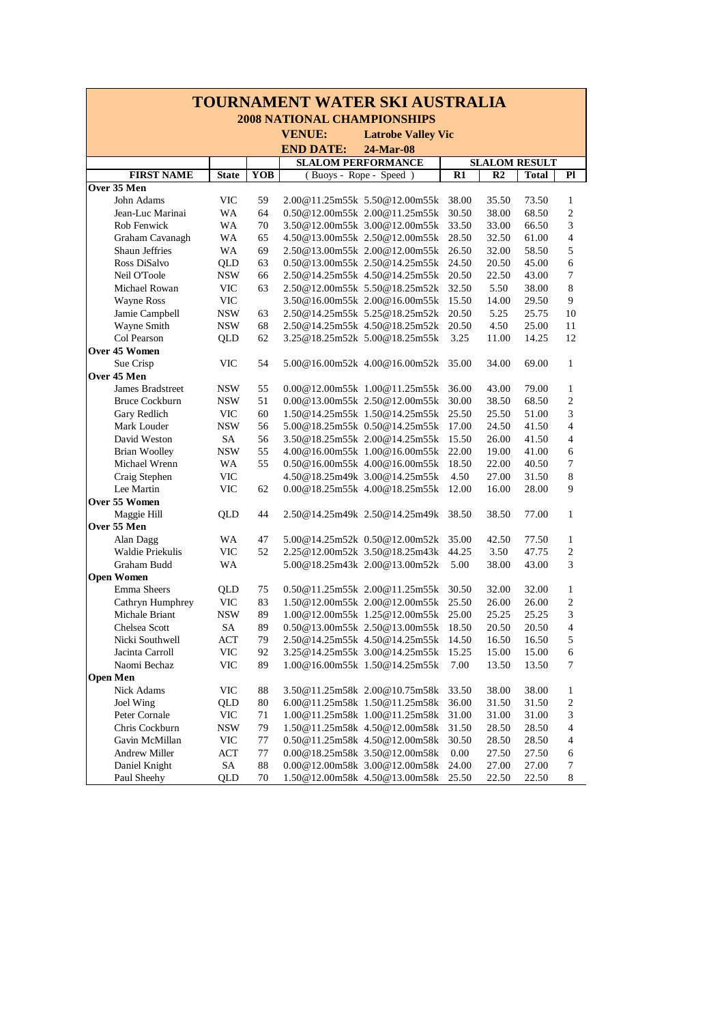| <b>TOURNAMENT WATER SKI AUSTRALIA</b> |                                    |              |     |                           |                                    |       |                |                      |                  |  |  |  |  |
|---------------------------------------|------------------------------------|--------------|-----|---------------------------|------------------------------------|-------|----------------|----------------------|------------------|--|--|--|--|
|                                       | <b>2008 NATIONAL CHAMPIONSHIPS</b> |              |     |                           |                                    |       |                |                      |                  |  |  |  |  |
|                                       |                                    |              |     | <b>VENUE:</b>             | <b>Latrobe Valley Vic</b>          |       |                |                      |                  |  |  |  |  |
|                                       |                                    |              |     | <b>END DATE:</b>          | 24-Mar-08                          |       |                |                      |                  |  |  |  |  |
|                                       |                                    |              |     | <b>SLALOM PERFORMANCE</b> |                                    |       |                | <b>SLALOM RESULT</b> |                  |  |  |  |  |
|                                       | <b>FIRST NAME</b>                  | <b>State</b> | YOB | (Buoys - Rope - Speed)    |                                    | R1    | R <sub>2</sub> | <b>Total</b>         | Pl               |  |  |  |  |
|                                       | Over 35 Men                        |              |     |                           |                                    |       |                |                      |                  |  |  |  |  |
|                                       | John Adams                         | VIC          | 59  |                           | 2.00@11.25m55k 5.50@12.00m55k      | 38.00 | 35.50          | 73.50                | 1                |  |  |  |  |
|                                       | Jean-Luc Marinai                   | WA           | 64  |                           | 0.50@12.00m55k 2.00@11.25m55k      | 30.50 | 38.00          | 68.50                | $\overline{2}$   |  |  |  |  |
|                                       | <b>Rob Fenwick</b>                 | WA           | 70  |                           | 3.50@12.00m55k 3.00@12.00m55k      | 33.50 | 33.00          | 66.50                | 3                |  |  |  |  |
|                                       | Graham Cavanagh                    | WA           | 65  |                           | 4.50@13.00m55k 2.50@12.00m55k      | 28.50 | 32.50          | 61.00                | $\overline{4}$   |  |  |  |  |
|                                       | Shaun Jeffries                     | WA           | 69  |                           | 2.50@13.00m55k 2.00@12.00m55k      | 26.50 | 32.00          | 58.50                | 5                |  |  |  |  |
|                                       | Ross DiSalvo                       | QLD          | 63  |                           | $0.50@13.00m55k$ 2.50 $@14.25m55k$ | 24.50 | 20.50          | 45.00                | 6                |  |  |  |  |
|                                       | Neil O'Toole                       | <b>NSW</b>   | 66  |                           | 2.50@14.25m55k 4.50@14.25m55k      | 20.50 | 22.50          | 43.00                | 7                |  |  |  |  |
|                                       | Michael Rowan                      | <b>VIC</b>   | 63  |                           | 2.50@12.00m55k 5.50@18.25m52k      | 32.50 | 5.50           | 38.00                | 8                |  |  |  |  |
|                                       | <b>Wayne Ross</b>                  | <b>VIC</b>   |     |                           | 3.50@16.00m55k 2.00@16.00m55k      | 15.50 | 14.00          | 29.50                | 9                |  |  |  |  |
|                                       | Jamie Campbell                     | <b>NSW</b>   | 63  |                           | 2.50@14.25m55k 5.25@18.25m52k      | 20.50 | 5.25           | 25.75                | 10               |  |  |  |  |
|                                       | Wayne Smith                        | <b>NSW</b>   | 68  |                           | 2.50@14.25m55k 4.50@18.25m52k      | 20.50 | 4.50           | 25.00                | 11               |  |  |  |  |
|                                       | Col Pearson                        | QLD          | 62  |                           | 3.25@18.25m52k 5.00@18.25m55k      | 3.25  | 11.00          | 14.25                | 12               |  |  |  |  |
|                                       | Over 45 Women                      |              |     |                           |                                    |       |                |                      |                  |  |  |  |  |
|                                       | Sue Crisp                          | <b>VIC</b>   | 54  |                           | 5.00@16.00m52k 4.00@16.00m52k      | 35.00 | 34.00          | 69.00                | 1                |  |  |  |  |
|                                       | Over 45 Men                        |              |     |                           |                                    |       |                |                      |                  |  |  |  |  |
|                                       | James Bradstreet                   | <b>NSW</b>   | 55  |                           | $0.00@12.00m55k$ 1.00 $@11.25m55k$ | 36.00 | 43.00          | 79.00                | $\mathbf{1}$     |  |  |  |  |
|                                       | <b>Bruce Cockburn</b>              | <b>NSW</b>   | 51  |                           | 0.00@13.00m55k 2.50@12.00m55k      | 30.00 | 38.50          | 68.50                | $\overline{2}$   |  |  |  |  |
|                                       | Gary Redlich                       | <b>VIC</b>   | 60  |                           | 1.50@14.25m55k 1.50@14.25m55k      | 25.50 | 25.50          | 51.00                | 3                |  |  |  |  |
|                                       | Mark Louder                        | <b>NSW</b>   | 56  |                           | 5.00@18.25m55k 0.50@14.25m55k      | 17.00 | 24.50          | 41.50                | $\overline{4}$   |  |  |  |  |
|                                       | David Weston                       | SA           | 56  |                           | 3.50@18.25m55k 2.00@14.25m55k      | 15.50 | 26.00          | 41.50                | $\overline{4}$   |  |  |  |  |
|                                       | <b>Brian Woolley</b>               | <b>NSW</b>   | 55  |                           | 4.00@16.00m55k 1.00@16.00m55k      | 22.00 | 19.00          | 41.00                | 6                |  |  |  |  |
|                                       | Michael Wrenn                      | WA           | 55  |                           | 0.50@16.00m55k 4.00@16.00m55k      | 18.50 | 22.00          | 40.50                | $\overline{7}$   |  |  |  |  |
|                                       | Craig Stephen                      | <b>VIC</b>   |     |                           | 4.50@18.25m49k 3.00@14.25m55k      | 4.50  | 27.00          | 31.50                | $\,$ 8 $\,$      |  |  |  |  |
|                                       | Lee Martin                         | <b>VIC</b>   | 62  |                           | $0.00@18.25m55k$ 4.00 $@18.25m55k$ | 12.00 | 16.00          | 28.00                | 9                |  |  |  |  |
|                                       | Over 55 Women                      |              |     |                           |                                    |       |                |                      |                  |  |  |  |  |
|                                       | Maggie Hill                        | QLD          | 44  |                           | 2.50@14.25m49k 2.50@14.25m49k      | 38.50 | 38.50          | 77.00                | $\mathbf{1}$     |  |  |  |  |
|                                       | Over 55 Men                        |              |     |                           |                                    |       |                |                      |                  |  |  |  |  |
|                                       | Alan Dagg                          | WA           | 47  |                           | 5.00@14.25m52k 0.50@12.00m52k      | 35.00 | 42.50          | 77.50                | 1                |  |  |  |  |
|                                       | Waldie Priekulis                   | VIC          | 52  |                           | 2.25@12.00m52k 3.50@18.25m43k      | 44.25 | 3.50           | 47.75                | $\overline{2}$   |  |  |  |  |
|                                       | Graham Budd                        | WA           |     |                           | 5.00@18.25m43k 2.00@13.00m52k      | 5.00  | 38.00          | 43.00                | 3                |  |  |  |  |
|                                       | <b>Open Women</b>                  |              |     |                           |                                    |       |                |                      |                  |  |  |  |  |
|                                       | Emma Sheers                        | QLD          | 75  |                           | $0.50@11.25m55k$ $2.00@11.25m55k$  | 30.50 | 32.00          | 32.00                | $\mathbf{1}$     |  |  |  |  |
|                                       | Cathryn Humphrey                   | <b>VIC</b>   | 83  |                           | 1.50@12.00m55k 2.00@12.00m55k      | 25.50 | 26.00          | 26.00                | $\overline{2}$   |  |  |  |  |
|                                       | Michale Briant                     | <b>NSW</b>   | 89  |                           | 1.00@12.00m55k 1.25@12.00m55k      | 25.00 | 25.25          | 25.25                | 3                |  |  |  |  |
|                                       | Chelsea Scott                      | <b>SA</b>    | 89  |                           | 0.50@13.00m55k 2.50@13.00m55k      | 18.50 | 20.50          | 20.50                | $\overline{4}$   |  |  |  |  |
|                                       | Nicki Southwell                    | ACT          | 79  |                           | 2.50@14.25m55k 4.50@14.25m55k      | 14.50 | 16.50          | 16.50                | 5                |  |  |  |  |
|                                       | Jacinta Carroll                    | <b>VIC</b>   | 92  |                           | 3.25@14.25m55k 3.00@14.25m55k      | 15.25 | 15.00          | 15.00                | 6                |  |  |  |  |
|                                       | Naomi Bechaz                       | <b>VIC</b>   | 89  |                           | 1.00@16.00m55k 1.50@14.25m55k      | 7.00  | 13.50          | 13.50                | 7                |  |  |  |  |
|                                       | <b>Open Men</b>                    |              |     |                           |                                    |       |                |                      |                  |  |  |  |  |
|                                       | Nick Adams                         | <b>VIC</b>   | 88  |                           | 3.50@11.25m58k 2.00@10.75m58k      | 33.50 | 38.00          | 38.00                | $\mathbf{1}$     |  |  |  |  |
|                                       | Joel Wing                          | QLD          | 80  |                           | 6.00@11.25m58k 1.50@11.25m58k      | 36.00 | 31.50          | 31.50                | $\boldsymbol{2}$ |  |  |  |  |
|                                       | Peter Cornale                      | <b>VIC</b>   | 71  |                           | 1.00@11.25m58k 1.00@11.25m58k      | 31.00 | 31.00          | 31.00                | 3                |  |  |  |  |
|                                       | Chris Cockburn                     | <b>NSW</b>   | 79  |                           | 1.50@11.25m58k 4.50@12.00m58k      | 31.50 | 28.50          | 28.50                | 4                |  |  |  |  |
|                                       | Gavin McMillan                     | VIC          | 77  |                           | 0.50@11.25m58k 4.50@12.00m58k      | 30.50 | 28.50          | 28.50                | $\overline{4}$   |  |  |  |  |
|                                       | Andrew Miller                      | ACT          | 77  |                           | 0.00@18.25m58k 3.50@12.00m58k      | 0.00  | 27.50          | 27.50                | 6                |  |  |  |  |
|                                       | Daniel Knight                      | SA           | 88  |                           | 0.00@12.00m58k 3.00@12.00m58k      | 24.00 | 27.00          | 27.00                | 7                |  |  |  |  |
|                                       | Paul Sheehy                        | QLD          | 70  |                           | 1.50@12.00m58k 4.50@13.00m58k      | 25.50 | 22.50          | 22.50                | 8                |  |  |  |  |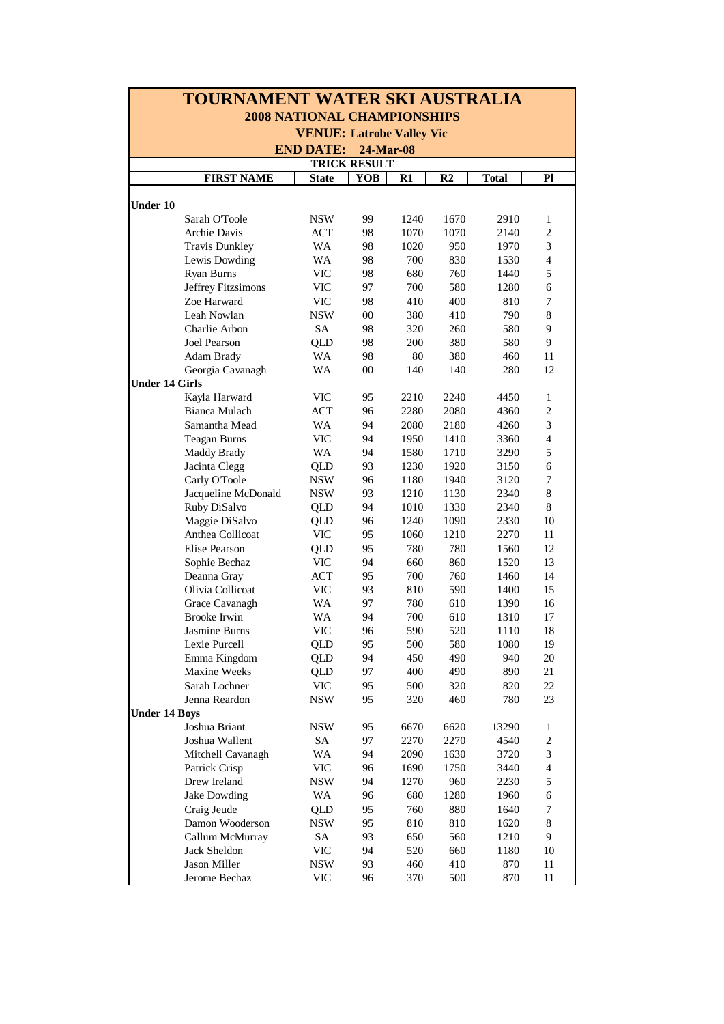| <b>TOURNAMENT WATER SKI AUSTRALIA</b> |                               |              |        |      |                |              |                          |  |  |  |  |  |
|---------------------------------------|-------------------------------|--------------|--------|------|----------------|--------------|--------------------------|--|--|--|--|--|
| <b>2008 NATIONAL CHAMPIONSHIPS</b>    |                               |              |        |      |                |              |                          |  |  |  |  |  |
| <b>VENUE: Latrobe Valley Vic</b>      |                               |              |        |      |                |              |                          |  |  |  |  |  |
|                                       | <b>END DATE:</b><br>24-Mar-08 |              |        |      |                |              |                          |  |  |  |  |  |
| <b>TRICK RESULT</b>                   |                               |              |        |      |                |              |                          |  |  |  |  |  |
|                                       | <b>FIRST NAME</b>             | <b>State</b> | YOB    | R1   | R <sub>2</sub> | <b>Total</b> | P1                       |  |  |  |  |  |
|                                       |                               |              |        |      |                |              |                          |  |  |  |  |  |
| <b>Under 10</b>                       |                               |              |        |      |                |              |                          |  |  |  |  |  |
|                                       | Sarah O'Toole                 | NSW          | 99     | 1240 | 1670           | 2910         | 1                        |  |  |  |  |  |
|                                       | Archie Davis                  | <b>ACT</b>   | 98     | 1070 | 1070           | 2140         | $\boldsymbol{2}$         |  |  |  |  |  |
|                                       | <b>Travis Dunkley</b>         | <b>WA</b>    | 98     | 1020 | 950            | 1970         | 3                        |  |  |  |  |  |
|                                       | Lewis Dowding                 | <b>WA</b>    | 98     | 700  | 830            | 1530         | $\overline{4}$           |  |  |  |  |  |
|                                       | Ryan Burns                    | <b>VIC</b>   | 98     | 680  | 760            | 1440         | 5                        |  |  |  |  |  |
|                                       | Jeffrey Fitzsimons            | VIC          | 97     | 700  | 580            | 1280         | 6                        |  |  |  |  |  |
|                                       | Zoe Harward                   | VIC          | 98     | 410  | 400            | 810          | 7                        |  |  |  |  |  |
|                                       | Leah Nowlan                   | <b>NSW</b>   | $00\,$ | 380  | 410            | 790          | 8                        |  |  |  |  |  |
|                                       | Charlie Arbon                 | SA           | 98     | 320  | 260            | 580          | 9                        |  |  |  |  |  |
|                                       | Joel Pearson                  | <b>QLD</b>   | 98     | 200  | 380            | 580          | 9                        |  |  |  |  |  |
|                                       | Adam Brady                    | <b>WA</b>    | 98     | 80   | 380            | 460          | 11                       |  |  |  |  |  |
|                                       | Georgia Cavanagh              | WA           | 00     | 140  | 140            | 280          | 12                       |  |  |  |  |  |
| <b>Under 14 Girls</b>                 |                               |              |        |      |                |              |                          |  |  |  |  |  |
|                                       | Kayla Harward                 | <b>VIC</b>   | 95     | 2210 | 2240           | 4450         | 1                        |  |  |  |  |  |
|                                       | Bianca Mulach                 | <b>ACT</b>   | 96     | 2280 | 2080           | 4360         | $\overline{c}$           |  |  |  |  |  |
|                                       | Samantha Mead                 | WA           | 94     | 2080 | 2180           | 4260         | 3                        |  |  |  |  |  |
|                                       | <b>Teagan Burns</b>           | <b>VIC</b>   | 94     | 1950 | 1410           | 3360         | $\overline{\mathcal{L}}$ |  |  |  |  |  |
|                                       | <b>Maddy Brady</b>            | WA           | 94     | 1580 | 1710           | 3290         | 5                        |  |  |  |  |  |
|                                       | Jacinta Clegg                 | QLD          | 93     | 1230 | 1920           | 3150         | 6                        |  |  |  |  |  |
|                                       | Carly O'Toole                 | <b>NSW</b>   | 96     | 1180 | 1940           | 3120         | 7                        |  |  |  |  |  |
|                                       | Jacqueline McDonald           | <b>NSW</b>   | 93     | 1210 | 1130           | 2340         | 8                        |  |  |  |  |  |
|                                       | Ruby DiSalvo                  | QLD          | 94     | 1010 | 1330           | 2340         | $\,8\,$                  |  |  |  |  |  |
|                                       | Maggie DiSalvo                | <b>QLD</b>   | 96     | 1240 | 1090           | 2330         | 10                       |  |  |  |  |  |
|                                       | Anthea Collicoat              | <b>VIC</b>   | 95     | 1060 | 1210           | 2270         | 11                       |  |  |  |  |  |
|                                       | <b>Elise Pearson</b>          | <b>QLD</b>   | 95     | 780  | 780            | 1560         | 12                       |  |  |  |  |  |
|                                       | Sophie Bechaz                 | VIC          | 94     | 660  | 860            | 1520         | 13                       |  |  |  |  |  |
|                                       | Deanna Gray                   | ACT          | 95     | 700  | 760            | 1460         | 14                       |  |  |  |  |  |
|                                       | Olivia Collicoat              | VIC          | 93     | 810  | 590            | 1400         | 15                       |  |  |  |  |  |
|                                       | Grace Cavanagh                | <b>WA</b>    | 97     | 780  | 610            | 1390         | 16                       |  |  |  |  |  |
|                                       | <b>Brooke Irwin</b>           | WA           | 94     | 700  | 610            | 1310         | 17                       |  |  |  |  |  |
|                                       | Jasmine Burns                 | <b>VIC</b>   | 96     | 590  | 520            | 1110         | 18                       |  |  |  |  |  |
|                                       | Lexie Purcell                 | <b>QLD</b>   | 95     | 500  | 580            | 1080         | 19                       |  |  |  |  |  |
|                                       | Emma Kingdom                  | <b>QLD</b>   | 94     | 450  | 490            | 940          | 20                       |  |  |  |  |  |
|                                       | Maxine Weeks                  | QLD          | 97     | 400  | 490            | 890          | 21                       |  |  |  |  |  |
|                                       | Sarah Lochner                 | <b>VIC</b>   | 95     | 500  | 320            | 820          | 22                       |  |  |  |  |  |
|                                       | Jenna Reardon                 | <b>NSW</b>   | 95     | 320  | 460            | 780          | 23                       |  |  |  |  |  |
| <b>Under 14 Boys</b>                  |                               |              |        |      |                |              |                          |  |  |  |  |  |
|                                       | Joshua Briant                 | <b>NSW</b>   | 95     | 6670 | 6620           | 13290        | 1                        |  |  |  |  |  |
|                                       | Joshua Wallent                | SA           | 97     | 2270 | 2270           | 4540         | 2                        |  |  |  |  |  |
|                                       | Mitchell Cavanagh             | WA           | 94     | 2090 | 1630           | 3720         | 3                        |  |  |  |  |  |
|                                       | Patrick Crisp                 | <b>VIC</b>   | 96     | 1690 | 1750           | 3440         | $\overline{4}$           |  |  |  |  |  |
|                                       | Drew Ireland                  | <b>NSW</b>   | 94     | 1270 | 960            | 2230         | 5                        |  |  |  |  |  |
|                                       | Jake Dowding                  | WA           | 96     | 680  | 1280           | 1960         | 6                        |  |  |  |  |  |
|                                       | Craig Jeude                   | QLD          | 95     | 760  | 880            | 1640         | 7                        |  |  |  |  |  |
|                                       | Damon Wooderson               | <b>NSW</b>   | 95     | 810  | 810            | 1620         | 8                        |  |  |  |  |  |
|                                       | Callum McMurray               | SA           | 93     | 650  | 560            | 1210         | 9                        |  |  |  |  |  |
|                                       | Jack Sheldon                  | VIC          | 94     | 520  | 660            | 1180         | 10                       |  |  |  |  |  |
|                                       | Jason Miller                  | <b>NSW</b>   | 93     | 460  | 410            | 870          | 11                       |  |  |  |  |  |
|                                       | Jerome Bechaz                 | <b>VIC</b>   | 96     | 370  | 500            | 870          | 11                       |  |  |  |  |  |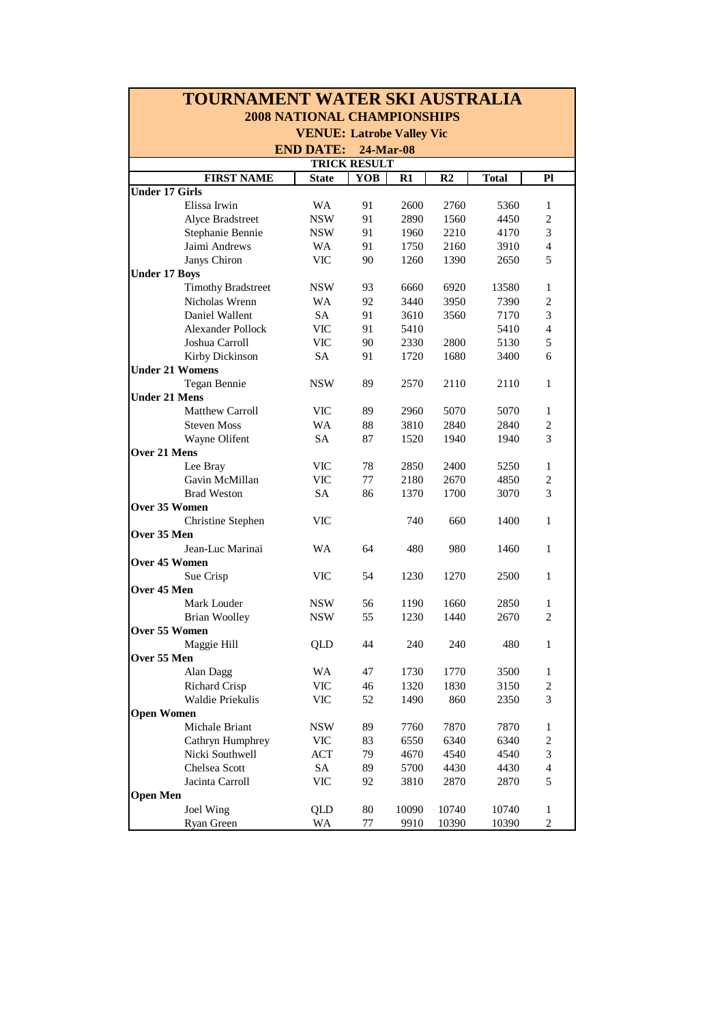| TOURNAMENT WATER SKI AUSTRALIA |                                    |                     |       |       |              |                         |  |  |  |  |  |  |  |
|--------------------------------|------------------------------------|---------------------|-------|-------|--------------|-------------------------|--|--|--|--|--|--|--|
|                                | <b>2008 NATIONAL CHAMPIONSHIPS</b> |                     |       |       |              |                         |  |  |  |  |  |  |  |
|                                | <b>VENUE: Latrobe Valley Vic</b>   |                     |       |       |              |                         |  |  |  |  |  |  |  |
|                                | <b>END DATE:</b><br>24-Mar-08      |                     |       |       |              |                         |  |  |  |  |  |  |  |
|                                |                                    | <b>TRICK RESULT</b> |       |       |              |                         |  |  |  |  |  |  |  |
| <b>FIRST NAME</b>              | <b>State</b>                       | YOB                 | R1    | R2    | <b>Total</b> | P1                      |  |  |  |  |  |  |  |
| <b>Under 17 Girls</b>          |                                    |                     |       |       |              |                         |  |  |  |  |  |  |  |
| Elissa Irwin                   | <b>WA</b>                          | 91                  | 2600  | 2760  | 5360         | 1                       |  |  |  |  |  |  |  |
| Alyce Bradstreet               | <b>NSW</b>                         | 91                  | 2890  | 1560  | 4450         | 2                       |  |  |  |  |  |  |  |
| Stephanie Bennie               | <b>NSW</b>                         | 91                  | 1960  | 2210  | 4170         | 3                       |  |  |  |  |  |  |  |
| Jaimi Andrews                  | WA                                 | 91                  | 1750  | 2160  | 3910         | $\overline{4}$          |  |  |  |  |  |  |  |
| Janys Chiron                   | <b>VIC</b>                         | 90                  | 1260  | 1390  | 2650         | 5                       |  |  |  |  |  |  |  |
| <b>Under 17 Boys</b>           |                                    |                     |       |       |              |                         |  |  |  |  |  |  |  |
| <b>Timothy Bradstreet</b>      | <b>NSW</b>                         | 93                  | 6660  | 6920  | 13580        | $\mathbf{1}$            |  |  |  |  |  |  |  |
| Nicholas Wrenn                 | WA                                 | 92                  | 3440  | 3950  | 7390         | $\sqrt{2}$              |  |  |  |  |  |  |  |
| Daniel Wallent                 | <b>SA</b>                          | 91                  | 3610  | 3560  | 7170         | 3                       |  |  |  |  |  |  |  |
| <b>Alexander Pollock</b>       | <b>VIC</b>                         | 91                  | 5410  |       | 5410         | $\overline{4}$          |  |  |  |  |  |  |  |
| Joshua Carroll                 | <b>VIC</b>                         | 90                  | 2330  | 2800  | 5130         | 5                       |  |  |  |  |  |  |  |
| Kirby Dickinson                | <b>SA</b>                          | 91                  | 1720  | 1680  | 3400         | 6                       |  |  |  |  |  |  |  |
| <b>Under 21 Womens</b>         |                                    |                     |       |       |              |                         |  |  |  |  |  |  |  |
| Tegan Bennie                   | <b>NSW</b>                         | 89                  | 2570  | 2110  | 2110         | 1                       |  |  |  |  |  |  |  |
| <b>Under 21 Mens</b>           |                                    |                     |       |       |              |                         |  |  |  |  |  |  |  |
| Matthew Carroll                | <b>VIC</b>                         | 89                  | 2960  | 5070  | 5070         | $\mathbf{1}$            |  |  |  |  |  |  |  |
| <b>Steven Moss</b>             | WA                                 | 88                  | 3810  | 2840  | 2840         | 2                       |  |  |  |  |  |  |  |
| Wayne Olifent                  | <b>SA</b>                          | 87                  | 1520  | 1940  | 1940         | 3                       |  |  |  |  |  |  |  |
| Over 21 Mens                   |                                    |                     |       |       |              |                         |  |  |  |  |  |  |  |
| Lee Bray                       | <b>VIC</b>                         | 78                  | 2850  | 2400  | 5250         | $\mathbf{1}$            |  |  |  |  |  |  |  |
| Gavin McMillan                 | <b>VIC</b>                         | 77                  | 2180  | 2670  | 4850         | 2                       |  |  |  |  |  |  |  |
| <b>Brad Weston</b>             | <b>SA</b>                          | 86                  | 1370  | 1700  | 3070         | 3                       |  |  |  |  |  |  |  |
| Over 35 Women                  |                                    |                     |       |       |              |                         |  |  |  |  |  |  |  |
| Christine Stephen              | VIC                                |                     | 740   | 660   | 1400         | $\mathbf{1}$            |  |  |  |  |  |  |  |
| Over 35 Men                    |                                    |                     |       |       |              |                         |  |  |  |  |  |  |  |
| Jean-Luc Marinai               | WA                                 | 64                  | 480   | 980   | 1460         | $\mathbf{1}$            |  |  |  |  |  |  |  |
| Over 45 Women                  |                                    |                     |       |       |              |                         |  |  |  |  |  |  |  |
| Sue Crisp                      | VIC                                | 54                  | 1230  | 1270  | 2500         | $\mathbf{1}$            |  |  |  |  |  |  |  |
| Over 45 Men                    |                                    |                     |       |       |              |                         |  |  |  |  |  |  |  |
| Mark Louder                    | NSW                                | 56                  | 1190  | 1660  | 2850         | 1                       |  |  |  |  |  |  |  |
| <b>Brian Woolley</b>           | <b>NSW</b>                         | 55                  | 1230  | 1440  | 2670         | $\overline{c}$          |  |  |  |  |  |  |  |
| Over 55 Women                  |                                    |                     |       |       |              |                         |  |  |  |  |  |  |  |
| Maggie Hill                    | QLD                                | 44                  | 240   | 240   | 480          | $\mathbf{1}$            |  |  |  |  |  |  |  |
| Over 55 Men                    |                                    |                     |       |       |              |                         |  |  |  |  |  |  |  |
| Alan Dagg                      | WA                                 | 47                  | 1730  | 1770  | 3500         | 1                       |  |  |  |  |  |  |  |
| <b>Richard Crisp</b>           | $\ensuremath{\text{VIC}}$          | 46                  | 1320  | 1830  | 3150         | $\overline{c}$          |  |  |  |  |  |  |  |
| Waldie Priekulis               | $\ensuremath{\text{VIC}}$          | 52                  | 1490  | 860   | 2350         | 3                       |  |  |  |  |  |  |  |
| <b>Open Women</b>              |                                    |                     |       |       |              |                         |  |  |  |  |  |  |  |
| Michale Briant                 | <b>NSW</b>                         | 89                  | 7760  | 7870  | 7870         | 1                       |  |  |  |  |  |  |  |
| Cathryn Humphrey               | <b>VIC</b>                         | 83                  | 6550  | 6340  | 6340         | $\overline{c}$          |  |  |  |  |  |  |  |
| Nicki Southwell                | ACT                                | 79                  | 4670  | 4540  | 4540         | 3                       |  |  |  |  |  |  |  |
| Chelsea Scott                  | SA                                 | 89                  | 5700  | 4430  | 4430         | $\overline{\mathbf{4}}$ |  |  |  |  |  |  |  |
| Jacinta Carroll                | <b>VIC</b>                         | 92                  | 3810  | 2870  | 2870         | 5                       |  |  |  |  |  |  |  |
| <b>Open Men</b>                |                                    |                     |       |       |              |                         |  |  |  |  |  |  |  |
| Joel Wing                      | QLD                                | 80                  | 10090 | 10740 | 10740        | $\mathbf{1}$            |  |  |  |  |  |  |  |
| Ryan Green                     | WA                                 | $77 \,$             | 9910  | 10390 | 10390        | $\mathfrak{2}$          |  |  |  |  |  |  |  |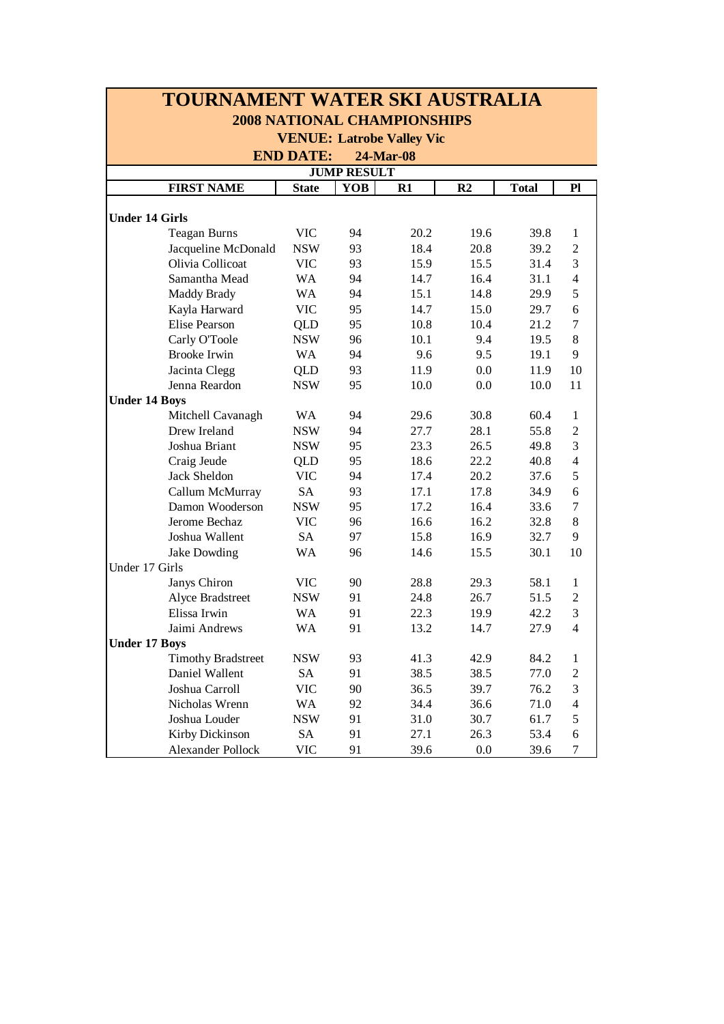| TOURNAMENT WATER SKI AUSTRALIA     |              |            |      |                |              |                |  |  |  |  |  |  |  |
|------------------------------------|--------------|------------|------|----------------|--------------|----------------|--|--|--|--|--|--|--|
| <b>2008 NATIONAL CHAMPIONSHIPS</b> |              |            |      |                |              |                |  |  |  |  |  |  |  |
| <b>VENUE: Latrobe Valley Vic</b>   |              |            |      |                |              |                |  |  |  |  |  |  |  |
| <b>END DATE:</b><br>24-Mar-08      |              |            |      |                |              |                |  |  |  |  |  |  |  |
| <b>JUMP RESULT</b>                 |              |            |      |                |              |                |  |  |  |  |  |  |  |
| <b>FIRST NAME</b>                  | <b>State</b> | <b>YOB</b> | R1   | R <sub>2</sub> | <b>Total</b> | P1             |  |  |  |  |  |  |  |
|                                    |              |            |      |                |              |                |  |  |  |  |  |  |  |
| <b>Under 14 Girls</b>              |              |            |      |                |              |                |  |  |  |  |  |  |  |
| <b>Teagan Burns</b>                | <b>VIC</b>   | 94         | 20.2 | 19.6           | 39.8         | $\mathbf{1}$   |  |  |  |  |  |  |  |
| Jacqueline McDonald                | <b>NSW</b>   | 93         | 18.4 | 20.8           | 39.2         | $\overline{2}$ |  |  |  |  |  |  |  |
| Olivia Collicoat                   | <b>VIC</b>   | 93         | 15.9 | 15.5           | 31.4         | 3              |  |  |  |  |  |  |  |
| Samantha Mead                      | <b>WA</b>    | 94         | 14.7 | 16.4           | 31.1         | $\overline{4}$ |  |  |  |  |  |  |  |
| <b>Maddy Brady</b>                 | <b>WA</b>    | 94         | 15.1 | 14.8           | 29.9         | 5              |  |  |  |  |  |  |  |
| Kayla Harward                      | <b>VIC</b>   | 95         | 14.7 | 15.0           | 29.7         | 6              |  |  |  |  |  |  |  |
| <b>Elise Pearson</b>               | QLD          | 95         | 10.8 | 10.4           | 21.2         | $\overline{7}$ |  |  |  |  |  |  |  |
| Carly O'Toole                      | <b>NSW</b>   | 96         | 10.1 | 9.4            | 19.5         | 8              |  |  |  |  |  |  |  |
| <b>Brooke Irwin</b>                | WA           | 94         | 9.6  | 9.5            | 19.1         | 9              |  |  |  |  |  |  |  |
| Jacinta Clegg                      | QLD          | 93         | 11.9 | 0.0            | 11.9         | 10             |  |  |  |  |  |  |  |
| Jenna Reardon                      | <b>NSW</b>   | 95         | 10.0 | 0.0            | 10.0         | 11             |  |  |  |  |  |  |  |
| <b>Under 14 Boys</b>               |              |            |      |                |              |                |  |  |  |  |  |  |  |
| Mitchell Cavanagh                  | <b>WA</b>    | 94         | 29.6 | 30.8           | 60.4         | $\mathbf{1}$   |  |  |  |  |  |  |  |
| Drew Ireland                       | <b>NSW</b>   | 94         | 27.7 | 28.1           | 55.8         | $\overline{2}$ |  |  |  |  |  |  |  |
| Joshua Briant                      | <b>NSW</b>   | 95         | 23.3 | 26.5           | 49.8         | 3              |  |  |  |  |  |  |  |
| Craig Jeude                        | QLD          | 95         | 18.6 | 22.2           | 40.8         | $\overline{4}$ |  |  |  |  |  |  |  |
| Jack Sheldon                       | <b>VIC</b>   | 94         | 17.4 | 20.2           | 37.6         | 5              |  |  |  |  |  |  |  |
| Callum McMurray                    | <b>SA</b>    | 93         | 17.1 | 17.8           | 34.9         | 6              |  |  |  |  |  |  |  |
| Damon Wooderson                    | <b>NSW</b>   | 95         | 17.2 | 16.4           | 33.6         | $\tau$         |  |  |  |  |  |  |  |
| Jerome Bechaz                      | <b>VIC</b>   | 96         | 16.6 | 16.2           | 32.8         | 8              |  |  |  |  |  |  |  |
| Joshua Wallent                     | <b>SA</b>    | 97         | 15.8 | 16.9           | 32.7         | 9              |  |  |  |  |  |  |  |
| Jake Dowding                       | WA           | 96         | 14.6 | 15.5           | 30.1         | 10             |  |  |  |  |  |  |  |
| Under 17 Girls                     |              |            |      |                |              |                |  |  |  |  |  |  |  |
| Janys Chiron                       | <b>VIC</b>   | 90         | 28.8 | 29.3           | 58.1         | $\mathbf{1}$   |  |  |  |  |  |  |  |
| Alyce Bradstreet                   | <b>NSW</b>   | 91         | 24.8 | 26.7           | 51.5         | $\overline{2}$ |  |  |  |  |  |  |  |
| Elissa Irwin                       | <b>WA</b>    | 91         | 22.3 | 19.9           | 42.2         | 3              |  |  |  |  |  |  |  |
| Jaimi Andrews                      | WA           | 91         | 13.2 | 14.7           | 27.9         | $\overline{4}$ |  |  |  |  |  |  |  |
| <b>Under 17 Boys</b>               |              |            |      |                |              |                |  |  |  |  |  |  |  |
| <b>Timothy Bradstreet</b>          | <b>NSW</b>   | 93         | 41.3 | 42.9           | 84.2         | $\,1$          |  |  |  |  |  |  |  |
| Daniel Wallent                     | SA           | 91         | 38.5 | 38.5           | 77.0         | $\overline{c}$ |  |  |  |  |  |  |  |
| Joshua Carroll                     | VIC          | 90         | 36.5 | 39.7           | 76.2         | 3              |  |  |  |  |  |  |  |
| Nicholas Wrenn                     | WA           | 92         | 34.4 | 36.6           | 71.0         | 4              |  |  |  |  |  |  |  |
| Joshua Louder                      | <b>NSW</b>   | 91         | 31.0 | 30.7           | 61.7         | 5              |  |  |  |  |  |  |  |
| Kirby Dickinson                    | SA           | 91         | 27.1 | 26.3           | 53.4         | 6              |  |  |  |  |  |  |  |
| Alexander Pollock                  | <b>VIC</b>   | 91         | 39.6 | 0.0            | 39.6         | 7              |  |  |  |  |  |  |  |

 $\blacksquare$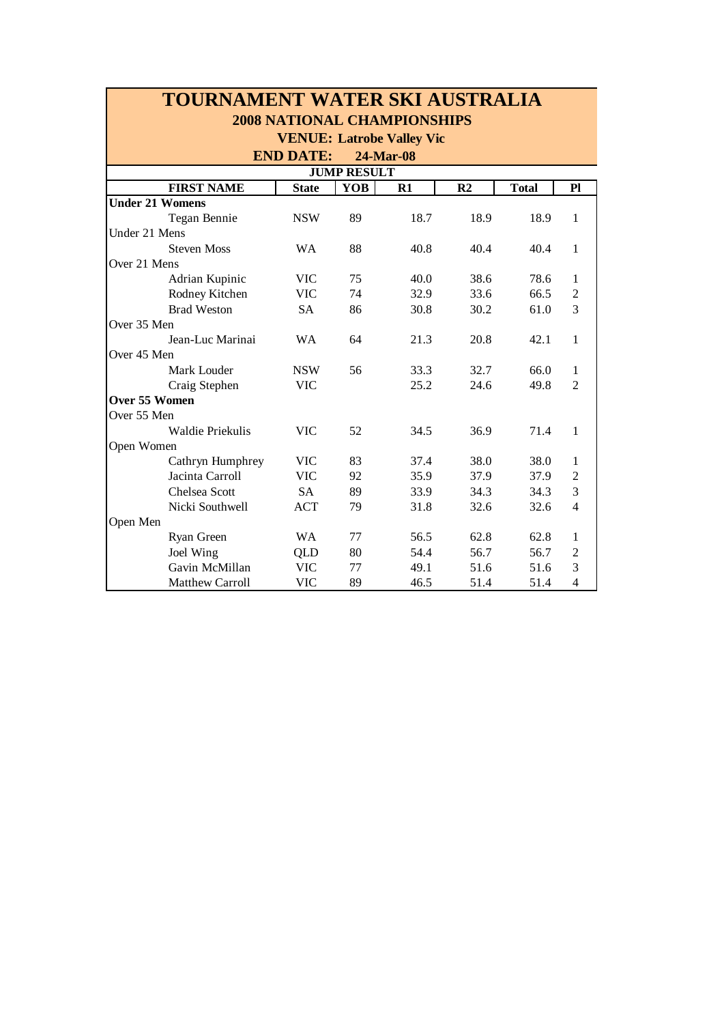| TOURNAMENT WATER SKI AUSTRALIA     |              |            |      |                |              |                |  |  |  |  |  |  |  |
|------------------------------------|--------------|------------|------|----------------|--------------|----------------|--|--|--|--|--|--|--|
| <b>2008 NATIONAL CHAMPIONSHIPS</b> |              |            |      |                |              |                |  |  |  |  |  |  |  |
| <b>VENUE: Latrobe Valley Vic</b>   |              |            |      |                |              |                |  |  |  |  |  |  |  |
| <b>END DATE:</b><br>24-Mar-08      |              |            |      |                |              |                |  |  |  |  |  |  |  |
| <b>JUMP RESULT</b>                 |              |            |      |                |              |                |  |  |  |  |  |  |  |
| <b>FIRST NAME</b>                  | <b>State</b> | <b>YOB</b> | R1   | R <sub>2</sub> | <b>Total</b> | P1             |  |  |  |  |  |  |  |
| <b>Under 21 Womens</b>             |              |            |      |                |              |                |  |  |  |  |  |  |  |
| Tegan Bennie                       | <b>NSW</b>   | 89         | 18.7 | 18.9           | 18.9         | 1              |  |  |  |  |  |  |  |
| Under 21 Mens                      |              |            |      |                |              |                |  |  |  |  |  |  |  |
| <b>Steven Moss</b>                 | <b>WA</b>    | 88         | 40.8 | 40.4           | 40.4         | 1              |  |  |  |  |  |  |  |
| Over 21 Mens                       |              |            |      |                |              |                |  |  |  |  |  |  |  |
| Adrian Kupinic                     | <b>VIC</b>   | 75         | 40.0 | 38.6           | 78.6         | 1              |  |  |  |  |  |  |  |
| Rodney Kitchen                     | <b>VIC</b>   | 74         | 32.9 | 33.6           | 66.5         | $\overline{2}$ |  |  |  |  |  |  |  |
| <b>Brad Weston</b>                 | <b>SA</b>    | 86         | 30.8 | 30.2           | 61.0         | 3              |  |  |  |  |  |  |  |
| Over 35 Men                        |              |            |      |                |              |                |  |  |  |  |  |  |  |
| Jean-Luc Marinai                   | <b>WA</b>    | 64         | 21.3 | 20.8           | 42.1         | $\mathbf{1}$   |  |  |  |  |  |  |  |
| Over 45 Men                        |              |            |      |                |              |                |  |  |  |  |  |  |  |
| Mark Louder                        | <b>NSW</b>   | 56         | 33.3 | 32.7           | 66.0         | $\mathbf{1}$   |  |  |  |  |  |  |  |
| Craig Stephen                      | <b>VIC</b>   |            | 25.2 | 24.6           | 49.8         | $\overline{2}$ |  |  |  |  |  |  |  |
| Over 55 Women                      |              |            |      |                |              |                |  |  |  |  |  |  |  |
| Over 55 Men                        |              |            |      |                |              |                |  |  |  |  |  |  |  |
| Waldie Priekulis                   | <b>VIC</b>   | 52         | 34.5 | 36.9           | 71.4         | 1              |  |  |  |  |  |  |  |
| Open Women                         |              |            |      |                |              |                |  |  |  |  |  |  |  |
| Cathryn Humphrey                   | <b>VIC</b>   | 83         | 37.4 | 38.0           | 38.0         | 1              |  |  |  |  |  |  |  |
| Jacinta Carroll                    | <b>VIC</b>   | 92         | 35.9 | 37.9           | 37.9         | $\overline{2}$ |  |  |  |  |  |  |  |
| <b>Chelsea Scott</b>               | <b>SA</b>    | 89         | 33.9 | 34.3           | 34.3         | 3              |  |  |  |  |  |  |  |
| Nicki Southwell                    | <b>ACT</b>   | 79         | 31.8 | 32.6           | 32.6         | $\overline{4}$ |  |  |  |  |  |  |  |
| Open Men                           |              |            |      |                |              |                |  |  |  |  |  |  |  |
| Ryan Green                         | <b>WA</b>    | 77         | 56.5 | 62.8           | 62.8         | 1              |  |  |  |  |  |  |  |
| Joel Wing                          | QLD          | 80         | 54.4 | 56.7           | 56.7         | $\overline{2}$ |  |  |  |  |  |  |  |
| Gavin McMillan                     | <b>VIC</b>   | 77         | 49.1 | 51.6           | 51.6         | 3              |  |  |  |  |  |  |  |
| <b>Matthew Carroll</b>             | <b>VIC</b>   | 89         | 46.5 | 51.4           | 51.4         | $\overline{4}$ |  |  |  |  |  |  |  |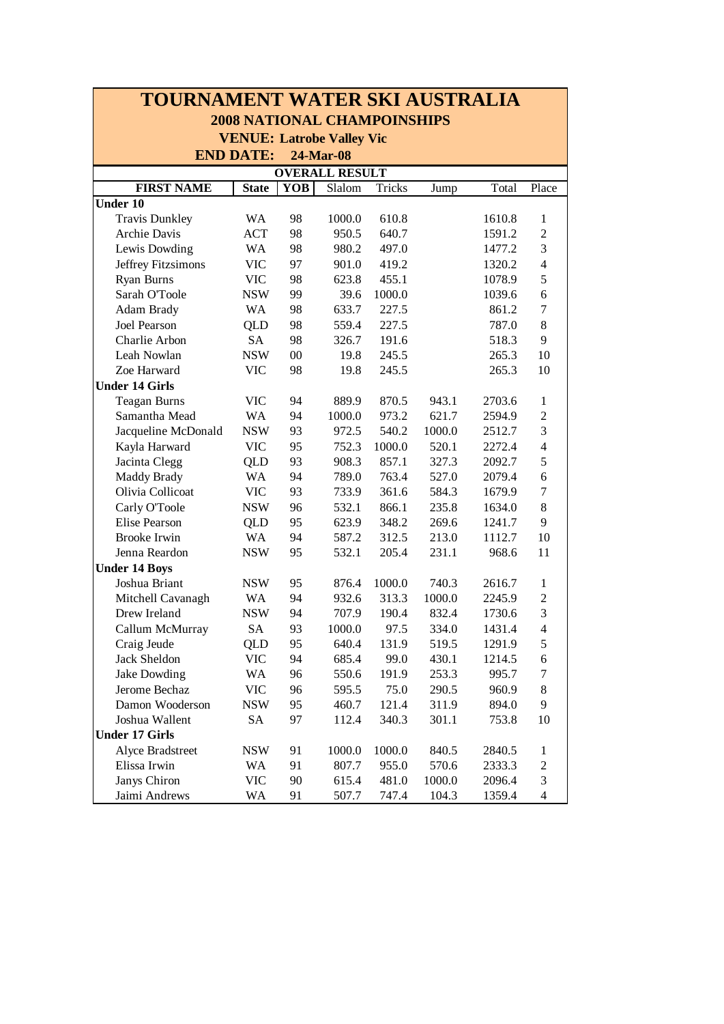| TOURNAMENT WATER SKI AUSTRALIA     |                  |            |                                  |        |        |        |                  |  |  |  |  |  |
|------------------------------------|------------------|------------|----------------------------------|--------|--------|--------|------------------|--|--|--|--|--|
| <b>2008 NATIONAL CHAMPOINSHIPS</b> |                  |            |                                  |        |        |        |                  |  |  |  |  |  |
|                                    |                  |            | <b>VENUE: Latrobe Valley Vic</b> |        |        |        |                  |  |  |  |  |  |
|                                    | <b>END DATE:</b> |            | 24-Mar-08                        |        |        |        |                  |  |  |  |  |  |
| <b>OVERALL RESULT</b>              |                  |            |                                  |        |        |        |                  |  |  |  |  |  |
| <b>FIRST NAME</b>                  | <b>State</b>     | <b>YOB</b> | Slalom                           | Tricks | Jump   | Total  | Place            |  |  |  |  |  |
| Under 10                           |                  |            |                                  |        |        |        |                  |  |  |  |  |  |
| <b>Travis Dunkley</b>              | <b>WA</b>        | 98         | 1000.0                           | 610.8  |        | 1610.8 | 1                |  |  |  |  |  |
| Archie Davis                       | <b>ACT</b>       | 98         | 950.5                            | 640.7  |        | 1591.2 | $\overline{2}$   |  |  |  |  |  |
| Lewis Dowding                      | <b>WA</b>        | 98         | 980.2                            | 497.0  |        | 1477.2 | $\mathfrak{Z}$   |  |  |  |  |  |
| Jeffrey Fitzsimons                 | <b>VIC</b>       | 97         | 901.0                            | 419.2  |        | 1320.2 | $\overline{4}$   |  |  |  |  |  |
| Ryan Burns                         | <b>VIC</b>       | 98         | 623.8                            | 455.1  |        | 1078.9 | 5                |  |  |  |  |  |
| Sarah O'Toole                      | <b>NSW</b>       | 99         | 39.6                             | 1000.0 |        | 1039.6 | $\sqrt{6}$       |  |  |  |  |  |
| Adam Brady                         | WA               | 98         | 633.7                            | 227.5  |        | 861.2  | $\boldsymbol{7}$ |  |  |  |  |  |
| Joel Pearson                       | <b>QLD</b>       | 98         | 559.4                            | 227.5  |        | 787.0  | $\,8\,$          |  |  |  |  |  |
| Charlie Arbon                      | <b>SA</b>        | 98         | 326.7                            | 191.6  |        | 518.3  | 9                |  |  |  |  |  |
| Leah Nowlan                        | <b>NSW</b>       | $00\,$     | 19.8                             | 245.5  |        | 265.3  | 10               |  |  |  |  |  |
| Zoe Harward                        | <b>VIC</b>       | 98         | 19.8                             | 245.5  |        | 265.3  | 10               |  |  |  |  |  |
| <b>Under 14 Girls</b>              |                  |            |                                  |        |        |        |                  |  |  |  |  |  |
| <b>Teagan Burns</b>                | <b>VIC</b>       | 94         | 889.9                            | 870.5  | 943.1  | 2703.6 | 1                |  |  |  |  |  |
| Samantha Mead                      | WA               | 94         | 1000.0                           | 973.2  | 621.7  | 2594.9 | $\overline{2}$   |  |  |  |  |  |
| Jacqueline McDonald                | <b>NSW</b>       | 93         | 972.5                            | 540.2  | 1000.0 | 2512.7 | 3                |  |  |  |  |  |
| Kayla Harward                      | <b>VIC</b>       | 95         | 752.3                            | 1000.0 | 520.1  | 2272.4 | $\overline{4}$   |  |  |  |  |  |
| Jacinta Clegg                      | QLD              | 93         | 908.3                            | 857.1  | 327.3  | 2092.7 | 5                |  |  |  |  |  |
| <b>Maddy Brady</b>                 | WA               | 94         | 789.0                            | 763.4  | 527.0  | 2079.4 | $\sqrt{6}$       |  |  |  |  |  |
| Olivia Collicoat                   | <b>VIC</b>       | 93         | 733.9                            | 361.6  | 584.3  | 1679.9 | $\boldsymbol{7}$ |  |  |  |  |  |
| Carly O'Toole                      | <b>NSW</b>       | 96         | 532.1                            | 866.1  | 235.8  | 1634.0 | $\,8\,$          |  |  |  |  |  |
| Elise Pearson                      | QLD              | 95         | 623.9                            | 348.2  | 269.6  | 1241.7 | 9                |  |  |  |  |  |
| <b>Brooke Irwin</b>                | <b>WA</b>        | 94         | 587.2                            | 312.5  | 213.0  | 1112.7 | 10               |  |  |  |  |  |
| Jenna Reardon                      | <b>NSW</b>       | 95         | 532.1                            | 205.4  | 231.1  | 968.6  | 11               |  |  |  |  |  |
| <b>Under 14 Boys</b>               |                  |            |                                  |        |        |        |                  |  |  |  |  |  |
| Joshua Briant                      | <b>NSW</b>       | 95         | 876.4                            | 1000.0 | 740.3  | 2616.7 | 1                |  |  |  |  |  |
| Mitchell Cavanagh                  | WA               | 94         | 932.6                            | 313.3  | 1000.0 | 2245.9 | $\overline{2}$   |  |  |  |  |  |
| Drew Ireland                       | <b>NSW</b>       | 94         | 707.9                            | 190.4  | 832.4  | 1730.6 | 3                |  |  |  |  |  |
| Callum McMurray                    | <b>SA</b>        | 93         | 1000.0                           | 97.5   | 334.0  | 1431.4 | $\overline{4}$   |  |  |  |  |  |
| Craig Jeude                        | <b>QLD</b>       | 95         | 640.4                            | 131.9  | 519.5  | 1291.9 | $\mathfrak s$    |  |  |  |  |  |
| Jack Sheldon                       | <b>VIC</b>       | 94         | 685.4                            | 99.0   | 430.1  | 1214.5 | $\sqrt{6}$       |  |  |  |  |  |
| Jake Dowding                       | WA               | 96         | 550.6                            | 191.9  | 253.3  | 995.7  | 7                |  |  |  |  |  |
| Jerome Bechaz                      | <b>VIC</b>       | 96         | 595.5                            | 75.0   | 290.5  | 960.9  | $\,8\,$          |  |  |  |  |  |
| Damon Wooderson                    | <b>NSW</b>       | 95         | 460.7                            | 121.4  | 311.9  | 894.0  | 9                |  |  |  |  |  |
| Joshua Wallent                     | SA               | 97         | 112.4                            | 340.3  | 301.1  | 753.8  | 10               |  |  |  |  |  |
| <b>Under 17 Girls</b>              |                  |            |                                  |        |        |        |                  |  |  |  |  |  |
| Alyce Bradstreet                   | <b>NSW</b>       | 91         | 1000.0                           | 1000.0 | 840.5  | 2840.5 | 1                |  |  |  |  |  |
| Elissa Irwin                       | WA               | 91         | 807.7                            | 955.0  | 570.6  | 2333.3 | $\overline{c}$   |  |  |  |  |  |
| Janys Chiron                       | <b>VIC</b>       | 90         | 615.4                            | 481.0  | 1000.0 | 2096.4 | $\mathfrak{Z}$   |  |  |  |  |  |
| Jaimi Andrews                      | WA               | 91         | 507.7                            | 747.4  | 104.3  | 1359.4 | $\overline{4}$   |  |  |  |  |  |